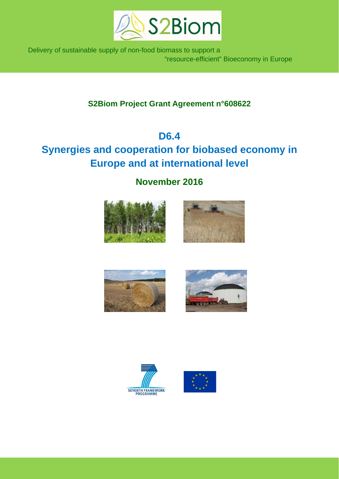

 Delivery of sustainable supply of non-food biomass to support a "resource-efficient" Bioeconomy in Europe

# **S2Biom Project Grant Agreement n°608622**

# **D6.4**

# **Synergies and cooperation for biobased economy in Europe and at international level**

**November 2016** 











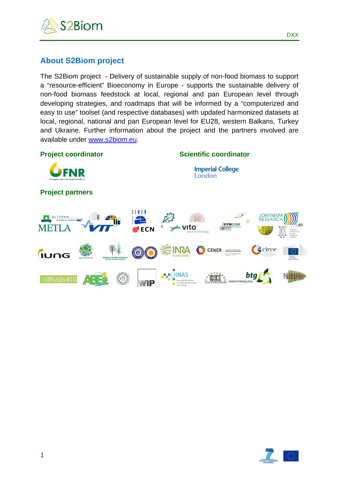

# **About S2Biom project**

The S2Biom project - Delivery of sustainable supply of non-food biomass to support a "resource-efficient" Bioeconomy in Europe - supports the sustainable delivery of non-food biomass feedstock at local, regional and pan European level through developing strategies, and roadmaps that will be informed by a "computerized and easy to use" toolset (and respective databases) with updated harmonized datasets at local, regional, national and pan European level for EU28, western Balkans, Turkey and Ukraine. Further information about the project and the partners involved are available under www.s2biom.eu.





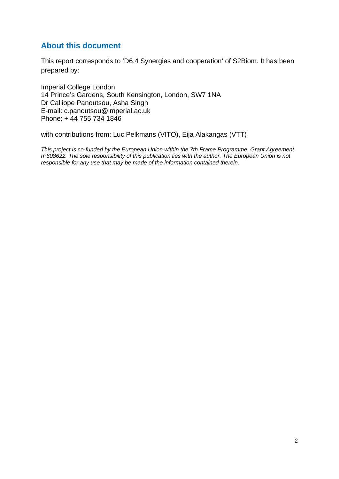# **About this document**

This report corresponds to 'D6.4 Synergies and cooperation' of S2Biom. It has been prepared by:

Imperial College London 14 Prince's Gardens, South Kensington, London, SW7 1NA Dr Calliope Panoutsou, Asha Singh E-mail: c.panoutsou@imperial.ac.uk Phone: + 44 755 734 1846

with contributions from: Luc Pelkmans (VITO), Eija Alakangas (VTT)

*This project is co-funded by the European Union within the 7th Frame Programme. Grant Agreement n°608622. The sole responsibility of this publication lies with the author. The European Union is not responsible for any use that may be made of the information contained therein.*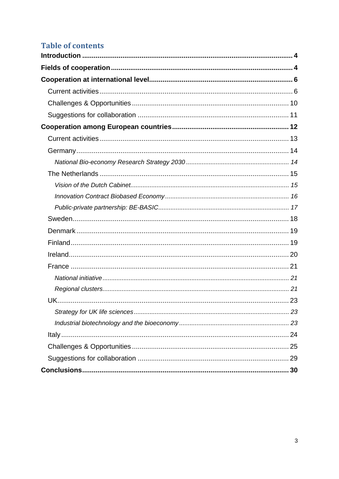# **Table of contents**

| 30 |
|----|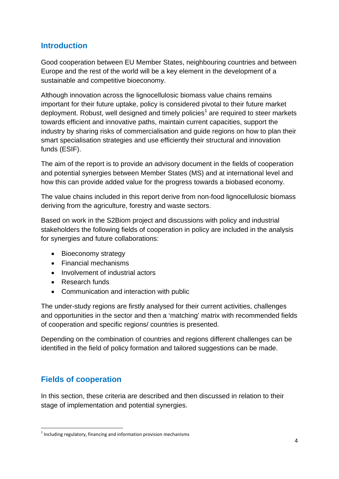# **Introduction**

Good cooperation between EU Member States, neighbouring countries and between Europe and the rest of the world will be a key element in the development of a sustainable and competitive bioeconomy.

Although innovation across the lignocellulosic biomass value chains remains important for their future uptake, policy is considered pivotal to their future market deployment. Robust, well designed and timely policies<sup>1</sup> are required to steer markets towards efficient and innovative paths, maintain current capacities, support the industry by sharing risks of commercialisation and guide regions on how to plan their smart specialisation strategies and use efficiently their structural and innovation funds (ESIF).

The aim of the report is to provide an advisory document in the fields of cooperation and potential synergies between Member States (MS) and at international level and how this can provide added value for the progress towards a biobased economy.

The value chains included in this report derive from non-food lignocellulosic biomass deriving from the agriculture, forestry and waste sectors.

Based on work in the S2Biom project and discussions with policy and industrial stakeholders the following fields of cooperation in policy are included in the analysis for synergies and future collaborations:

- Bioeconomy strategy
- Financial mechanisms
- Involvement of industrial actors
- Research funds
- Communication and interaction with public

The under-study regions are firstly analysed for their current activities, challenges and opportunities in the sector and then a 'matching' matrix with recommended fields of cooperation and specific regions/ countries is presented.

Depending on the combination of countries and regions different challenges can be identified in the field of policy formation and tailored suggestions can be made.

# **Fields of cooperation**

1

In this section, these criteria are described and then discussed in relation to their stage of implementation and potential synergies.

 $1$  Including regulatory, financing and information provision mechanisms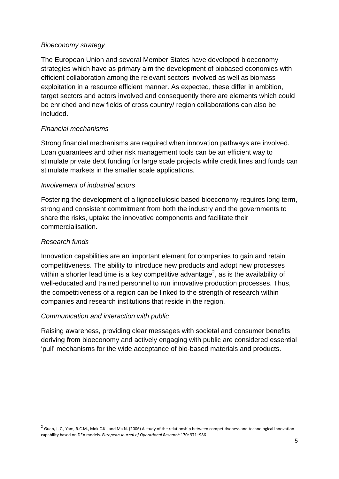#### *Bioeconomy strategy*

The European Union and several Member States have developed bioeconomy strategies which have as primary aim the development of biobased economies with efficient collaboration among the relevant sectors involved as well as biomass exploitation in a resource efficient manner. As expected, these differ in ambition, target sectors and actors involved and consequently there are elements which could be enriched and new fields of cross country/ region collaborations can also be included.

### *Financial mechanisms*

Strong financial mechanisms are required when innovation pathways are involved. Loan guarantees and other risk management tools can be an efficient way to stimulate private debt funding for large scale projects while credit lines and funds can stimulate markets in the smaller scale applications.

### *Involvement of industrial actors*

Fostering the development of a lignocellulosic based bioeconomy requires long term, strong and consistent commitment from both the industry and the governments to share the risks, uptake the innovative components and facilitate their commercialisation.

### *Research funds*

1

Innovation capabilities are an important element for companies to gain and retain competitiveness. The ability to introduce new products and adopt new processes within a shorter lead time is a key competitive advantage<sup>2</sup>, as is the availability of well-educated and trained personnel to run innovative production processes. Thus, the competitiveness of a region can be linked to the strength of research within companies and research institutions that reside in the region.

### *Communication and interaction with public*

Raising awareness, providing clear messages with societal and consumer benefits deriving from bioeconomy and actively engaging with public are considered essential 'pull' mechanisms for the wide acceptance of bio-based materials and products.

 $2$  Guan, J. C., Yam, R.C.M., Mok C.K., and Ma N. (2006) A study of the relationship between competitiveness and technological innovation capability based on DEA models. *European Journal of Operational Research* 170: 971–986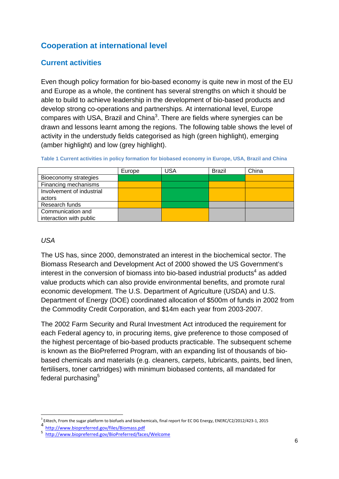# **Cooperation at international level**

## **Current activities**

Even though policy formation for bio-based economy is quite new in most of the EU and Europe as a whole, the continent has several strengths on which it should be able to build to achieve leadership in the development of bio-based products and develop strong co-operations and partnerships. At international level, Europe compares with USA, Brazil and China<sup>3</sup>. There are fields where synergies can be drawn and lessons learnt among the regions. The following table shows the level of activity in the understudy fields categorised as high (green highlight), emerging (amber highlight) and low (grey highlight).

| Table 1 Current activities in policy formation for biobased economy in Europe, USA, Brazil and China |  |  |
|------------------------------------------------------------------------------------------------------|--|--|

|                           | Europe | <b>USA</b> | <b>Brazil</b> | China |
|---------------------------|--------|------------|---------------|-------|
| Bioeconomy strategies     |        |            |               |       |
| Financing mechanisms      |        |            |               |       |
| Involvement of industrial |        |            |               |       |
| actors                    |        |            |               |       |
| Research funds            |        |            |               |       |
| Communication and         |        |            |               |       |
| interaction with public   |        |            |               |       |

### *USA*

The US has, since 2000, demonstrated an interest in the biochemical sector. The Biomass Research and Development Act of 2000 showed the US Government's interest in the conversion of biomass into bio-based industrial products<sup>4</sup> as added value products which can also provide environmental benefits, and promote rural economic development. The U.S. Department of Agriculture (USDA) and U.S. Department of Energy (DOE) coordinated allocation of \$500m of funds in 2002 from the Commodity Credit Corporation, and \$14m each year from 2003-2007.

The 2002 Farm Security and Rural Investment Act introduced the requirement for each Federal agency to, in procuring items, give preference to those composed of the highest percentage of bio-based products practicable. The subsequent scheme is known as the BioPreferred Program, with an expanding list of thousands of biobased chemicals and materials (e.g. cleaners, carpets, lubricants, paints, bed linen, fertilisers, toner cartridges) with minimum biobased contents, all mandated for federal purchasing<sup>5</sup>

<sup>1</sup> <sup>3</sup> E4tech, From the sugar platform to biofuels and biochemicals, final report for EC DG Energy, ENERC/C2/2012/423-1, 2015<br>4 http://www.biopreferred.gov/files/Biomass.pdf<br>5 http://www.biopreferred.gov/BioPreferred/faces/W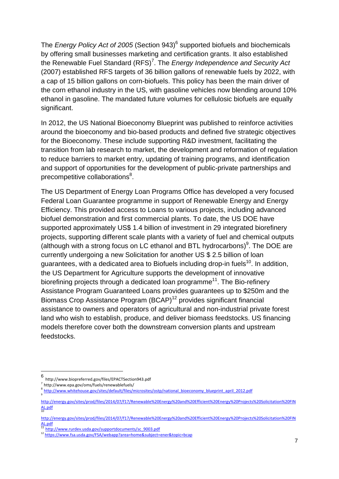The *Energy Policy Act of 2005* (Section 943)<sup>6</sup> supported biofuels and biochemicals by offering small businesses marketing and certification grants. It also established the Renewable Fuel Standard (RFS)<sup>7</sup>. The *Energy Independence and Security Act* (2007) established RFS targets of 36 billion gallons of renewable fuels by 2022, with a cap of 15 billion gallons on corn-biofuels. This policy has been the main driver of the corn ethanol industry in the US, with gasoline vehicles now blending around 10% ethanol in gasoline. The mandated future volumes for cellulosic biofuels are equally significant.

In 2012, the US National Bioeconomy Blueprint was published to reinforce activities around the bioeconomy and bio-based products and defined five strategic objectives for the Bioeconomy. These include supporting R&D investment, facilitating the transition from lab research to market, the development and reformation of regulation to reduce barriers to market entry, updating of training programs, and identification and support of opportunities for the development of public-private partnerships and precompetitive collaborations<sup>8</sup>.

The US Department of Energy Loan Programs Office has developed a very focused Federal Loan Guarantee programme in support of Renewable Energy and Energy Efficiency. This provided access to Loans to various projects, including advanced biofuel demonstration and first commercial plants. To date, the US DOE have supported approximately US\$ 1.4 billion of investment in 29 integrated biorefinery projects, supporting different scale plants with a variety of fuel and chemical outputs (although with a strong focus on LC ethanol and BTL hydrocarbons) $9$ . The DOE are currently undergoing a new Solicitation for another US \$ 2.5 billion of loan guarantees, with a dedicated area to Biofuels including drop-in fuels<sup>10</sup>. In addition, the US Department for Agriculture supports the development of innovative biorefining projects through a dedicated loan programme<sup>11</sup>. The Bio-refinery Assistance Program Guaranteed Loans provides guarantees up to \$250m and the Biomass Crop Assistance Program (BCAP)<sup>12</sup> provides significant financial assistance to owners and operators of agricultural and non-industrial private forest land who wish to establish, produce, and deliver biomass feedstocks. US financing models therefore cover both the downstream conversion plants and upstream feedstocks.

6 http://www.biopreferred.gov/files/EPACTSection943.pdf<br> $\frac{7}{1}$  http://www.epa.gov/oms/fuels/renewablefuels/

1

<sup>8</sup> http://www.whitehouse.gov/sites/default/files/microsites/ostp/national\_bioeconomy\_blueprint\_april\_2012.pdf 9

http://energy.gov/sites/prod/files/2014/07/f17/Renewable%20Energy%20and%20Efficient%20Energy%20Projects%20Solicitation%20FIN AL.pdf

http://energy.gov/sites/prod/files/2014/07/f17/Renewable%20Energy%20and%20Efficient%20Energy%20Projects%20Solicitation%20FIN AL.pdf<br><sup>11</sup> http://www.rurdev.usda.gov/supportdocuments/sc\_9003.pdf

<sup>12</sup> https://www.fsa.usda.gov/FSA/webapp?area=home&subject=ener&topic=bcap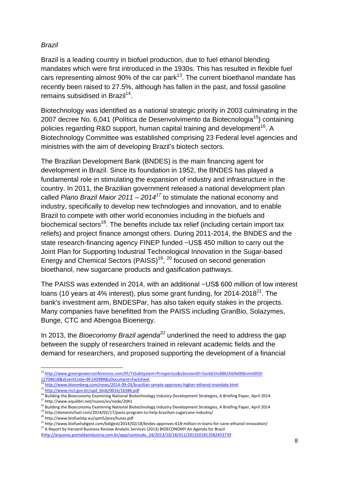### *Brazil*

Brazil is a leading country in biofuel production, due to fuel ethanol blending mandates which were first introduced in the 1930s. This has resulted in flexible fuel cars representing almost 90% of the car park<sup>13</sup>. The current bioethanol mandate has recently been raised to 27.5%, although has fallen in the past, and fossil gasoline remains subsidised in Brazil<sup>14</sup>.

Biotechnology was identified as a national strategic priority in 2003 culminating in the 2007 decree No. 6,041 (Política de Desenvolvimento da Biotecnologia<sup>15</sup>) containing policies regarding R&D support, human capital training and development<sup>16</sup>. A Biotechnology Committee was established comprising 23 Federal level agencies and ministries with the aim of developing Brazil's biotech sectors.

The Brazilian Development Bank (BNDES) is the main financing agent for development in Brazil. Since its foundation in 1952, the BNDES has played a fundamental role in stimulating the expansion of industry and infrastructure in the country. In 2011, the Brazilian government released a national development plan called *Plano Brazil Maior 2011 – 2014<sup>17</sup>* to stimulate the national economy and industry, specifically to develop new technologies and innovation, and to enable Brazil to compete with other world economies including in the biofuels and biochemical sectors<sup>18</sup>. The benefits include tax relief (including certain import tax reliefs) and project finance amongst others. During 2011-2014, the BNDES and the state research-financing agency FINEP funded ~US\$ 450 million to carry out the Joint Plan for Supporting Industrial Technological Innovation in the Sugar-based Energy and Chemical Sectors (PAISS)<sup>19</sup>, <sup>20</sup> focused on second generation bioethanol, new sugarcane products and gasification pathways.

The PAISS was extended in 2014, with an additional ~US\$ 600 million of low interest loans (10 years at 4% interest), plus some grant funding, for  $2014-2018^{21}$ . The bank's investment arm, BNDESPar, has also taken equity stakes in the projects. Many companies have benefitted from the PAISS including GranBio, Solazymes, Bunge, CTC and Abengoa Bioenergy.

In 2013, the *Bioeconomy Brazil agenda<sup>22</sup>* underlined the need to address the gap between the supply of researchers trained in relevant academic fields and the demand for researchers, and proposed supporting the development of a financial

<sup>1</sup> <sup>13</sup> http://www.greenpowerconferences.com/EF/?sSubSystem=Prospectus&sSessionID=5ock61hc8861hb9e006nnml050‐ 12708618&sEventCode=BF1409BR&sDocument=Factsheet <sup>14</sup> http://www.bloomberg.com/news/2014‐09‐03/brazilian‐senate‐approves‐higher‐ethanol‐mandate.html

 $15$  http://www.mct.gov.br/upd\_blob/0016/16386.pdf

<sup>16</sup> Building the Bioeconomy Examining National Biotechnology Industry Development Strategies, A Briefing Paper, April 2014<br><sup>17</sup> http://www.equilibri.net/nuovo/es/node/2041

<sup>&</sup>lt;sup>18</sup> Building the Bioeconomy Examining National Biotechnology Industry Development Strategies, A Briefing Paper, April 2014

<sup>&</sup>lt;sup>19</sup> http://domesticfuel.com/2014/02/17/paiss-program-to-help-brazilian-sugarcane-industry/

<sup>20</sup> http://www.biofuelstp.eu/spm5/pres/kutas.pdf

<sup>21</sup> http://www.biofuelsdigest.com/bdigest/2014/02/18/bndes-approves-618-million-in-loans-for-cane-ethanol-innovation/<br>
22 A Report by Harvard Business Review Analytic Services (2013) BIOECONOMY An Agenda for Brazil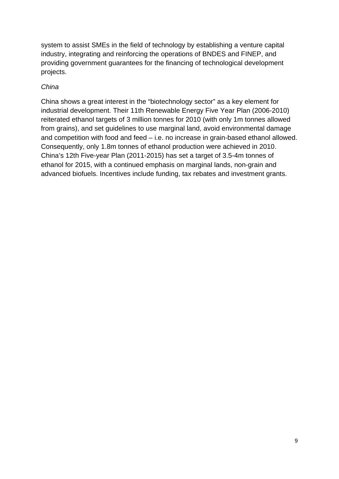system to assist SMEs in the field of technology by establishing a venture capital industry, integrating and reinforcing the operations of BNDES and FINEP, and providing government guarantees for the financing of technological development projects.

### *China*

China shows a great interest in the "biotechnology sector" as a key element for industrial development. Their 11th Renewable Energy Five Year Plan (2006-2010) reiterated ethanol targets of 3 million tonnes for 2010 (with only 1m tonnes allowed from grains), and set guidelines to use marginal land, avoid environmental damage and competition with food and feed – i.e. no increase in grain-based ethanol allowed. Consequently, only 1.8m tonnes of ethanol production were achieved in 2010. China's 12th Five-year Plan (2011-2015) has set a target of 3.5-4m tonnes of ethanol for 2015, with a continued emphasis on marginal lands, non-grain and advanced biofuels. Incentives include funding, tax rebates and investment grants.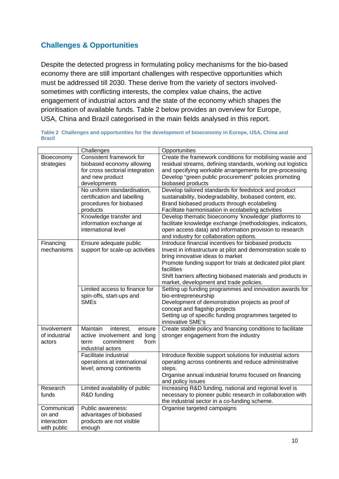# **Challenges & Opportunities**

Despite the detected progress in formulating policy mechanisms for the bio-based economy there are still important challenges with respective opportunities which must be addressed till 2030. These derive from the variety of sectors involvedsometimes with conflicting interests, the complex value chains, the active engagement of industrial actors and the state of the economy which shapes the prioritisation of available funds. Table 2 below provides an overview for Europe, USA, China and Brazil categorised in the main fields analysed in this report.

**Table 2 Challenges and opportunities for the development of bioeconomy in Europe, USA, China and Brazil** 

|                                                     | Challenges                                                                                                                  | Opportunities                                                                                                                                                                                                                                                                                                                                   |
|-----------------------------------------------------|-----------------------------------------------------------------------------------------------------------------------------|-------------------------------------------------------------------------------------------------------------------------------------------------------------------------------------------------------------------------------------------------------------------------------------------------------------------------------------------------|
| Bioeconomy<br>strategies                            | Consistent framework for<br>biobased economy allowing<br>for cross sectorial integration<br>and new product<br>developments | Create the framework conditions for mobilising waste and<br>residual streams, defining standards, working out logistics<br>and specifying workable arrangements for pre-processing<br>Develop "green public procurement" policies promoting<br>biobased products                                                                                |
|                                                     | No uniform standardisation,<br>certification and labelling<br>procedures for biobased<br>products                           | Develop tailored standards for feedstock and product<br>sustainability, biodegradability, biobased content, etc.<br>Brand biobased products through ecolabeling<br>Facilitate harmonisation in ecolabeling activities                                                                                                                           |
|                                                     | Knowledge transfer and<br>information exchange at<br>international level                                                    | Develop thematic bioeconomy 'knowledge' platforms to<br>facilitate knowledge exchange (methodologies, indicators,<br>open access data) and information provision to research<br>and industry for collaboration options.                                                                                                                         |
| Financing<br>mechanisms                             | Ensure adequate public<br>support for scale-up activities                                                                   | Introduce financial incentives for biobased products<br>Invest in infrastructure at pilot and demonstration scale to<br>bring innovative ideas to market<br>Promote funding support for trials at dedicated pilot plant<br>facilities<br>Shift barriers affecting biobased materials and products in<br>market, development and trade policies. |
|                                                     | Limited access to finance for<br>spin-offs, start-ups and<br><b>SMEs</b>                                                    | Setting up funding programmes and innovation awards for<br>bio-entrepreneurship<br>Development of demonstration projects as proof of<br>concept and flagship projects<br>Setting up of specific funding programmes targeted to<br>innovative SME's                                                                                              |
| Involvement<br>of industrial<br>actors              | Maintain<br>interest,<br>ensure<br>active involvement and long<br>commitment<br>from<br>term<br>industrial actors           | Create stable policy and financing conditions to facilitate<br>stronger engagement from the industry                                                                                                                                                                                                                                            |
|                                                     | Facilitate industrial<br>operations at international<br>level; among continents                                             | Introduce flexible support solutions for industrial actors<br>operating across continents and reduce administrative<br>steps.<br>Organise annual industrial forums focused on financing<br>and policy issues                                                                                                                                    |
| Research<br>funds                                   | Limited availability of public<br>R&D funding                                                                               | Increasing R&D funding, national and regional level is<br>necessary to pioneer public research in collaboration with<br>the industrial sector in a co-funding scheme.                                                                                                                                                                           |
| Communicati<br>on and<br>interaction<br>with public | Public awareness:<br>advantages of biobased<br>products are not visible<br>enough                                           | Organise targeted campaigns                                                                                                                                                                                                                                                                                                                     |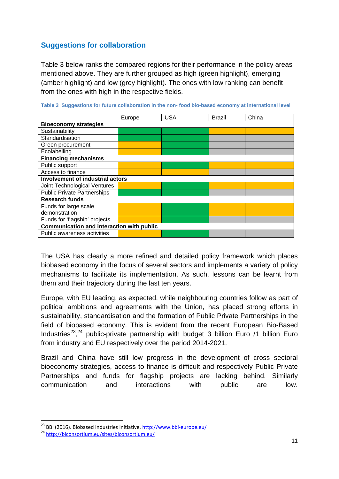# **Suggestions for collaboration**

Table 3 below ranks the compared regions for their performance in the policy areas mentioned above. They are further grouped as high (green highlight), emerging (amber highlight) and low (grey highlight). The ones with low ranking can benefit from the ones with high in the respective fields.

|                                                  | Europe | <b>USA</b> | <b>Brazil</b> | China |
|--------------------------------------------------|--------|------------|---------------|-------|
| <b>Bioeconomy strategies</b>                     |        |            |               |       |
| Sustainability                                   |        |            |               |       |
| Standardisation                                  |        |            |               |       |
| Green procurement                                |        |            |               |       |
| Ecolabelling                                     |        |            |               |       |
| <b>Financing mechanisms</b>                      |        |            |               |       |
| Public support                                   |        |            |               |       |
| Access to finance                                |        |            |               |       |
| <b>Involvement of industrial actors</b>          |        |            |               |       |
| Joint Technological Ventures                     |        |            |               |       |
| <b>Public Private Partnerships</b>               |        |            |               |       |
| <b>Research funds</b>                            |        |            |               |       |
| Funds for large scale                            |        |            |               |       |
| demonstration                                    |        |            |               |       |
| Funds for 'flagship' projects                    |        |            |               |       |
| <b>Communication and interaction with public</b> |        |            |               |       |
| Public awareness activities                      |        |            |               |       |

**Table 3 Suggestions for future collaboration in the non- food bio-based economy at international level** 

The USA has clearly a more refined and detailed policy framework which places biobased economy in the focus of several sectors and implements a variety of policy mechanisms to facilitate its implementation. As such, lessons can be learnt from them and their trajectory during the last ten years.

Europe, with EU leading, as expected, while neighbouring countries follow as part of political ambitions and agreements with the Union, has placed strong efforts in sustainability, standardisation and the formation of Public Private Partnerships in the field of biobased economy. This is evident from the recent European Bio-Based Industries<sup>23</sup>,<sup>24</sup> public-private partnership with budget 3 billion Euro /1 billion Euro from industry and EU respectively over the period 2014-2021.

Brazil and China have still low progress in the development of cross sectoral bioeconomy strategies, access to finance is difficult and respectively Public Private Partnerships and funds for flagship projects are lacking behind. Similarly communication and interactions with public are low.

1

<sup>&</sup>lt;sup>23</sup> BBI (2016). Biobased Industries Initiative. http://www.bbi-europe.eu/<br><sup>24</sup> http://biconsortium.eu/sites/biconsortium.eu/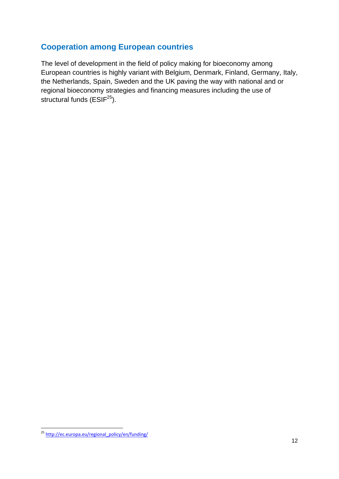# **Cooperation among European countries**

The level of development in the field of policy making for bioeconomy among European countries is highly variant with Belgium, Denmark, Finland, Germany, Italy, the Netherlands, Spain, Sweden and the UK paving the way with national and or regional bioeconomy strategies and financing measures including the use of structural funds  $(ESIF<sup>25</sup>)$ .

<sup>1</sup> <sup>25</sup> http://ec.europa.eu/regional\_policy/en/funding/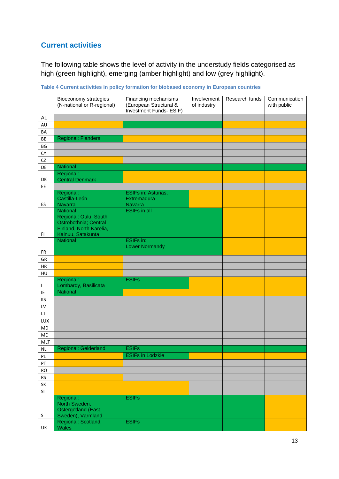# **Current activities**

The following table shows the level of activity in the understudy fields categorised as high (green highlight), emerging (amber highlight) and low (grey highlight).

| <b>AL</b><br>AU<br>BA<br><b>Regional: Flanders</b><br>BE<br>BG<br>${\sf CY}$<br>${\sf CZ}$<br><b>National</b><br>DE<br>Regional:<br><b>Central Denmark</b><br>DK<br>EE<br>Regional:<br>ESIFs in: Asturias,<br>Castilla-León<br>Extremadura<br>Navarra<br>ES<br>Navarra<br>National<br><b>ESIFs in all</b><br>Regional: Oulu, South<br>Ostrobothnia; Central<br>Finland, North Karelia,<br>Kainuu, Satakunta<br>FI.<br>National<br><b>ESIFs in:</b><br><b>Lower Normandy</b><br>FR<br>${\sf GR}$<br>${\sf HR}$<br>HU<br>Regional:<br><b>ESIFs</b><br>Lombardy, Basilicata<br>$\mathbf{I}$<br>National<br>IE<br>KS<br>${\sf L}{\sf V}$<br>LT<br>LUX<br><b>MD</b><br>ME<br><b>MLT</b><br><b>ESIFs</b><br><b>Regional: Gelderland</b><br><b>NL</b><br><b>ESIFs in Lodzkie</b><br>PL<br>${\sf PT}$<br><b>RO</b><br><b>RS</b><br>SK<br>SI<br><b>ESIFs</b><br>Regional:<br>North Sweden,<br><b>Ostergotland (East</b><br>$\sf S$<br>Sweden), Varmland<br>Regional: Scotland,<br><b>ESIFs</b><br><b>Wales</b><br>UK | Bioeconomy strategies<br>(N-national or R-regional) | Financing mechanisms<br>(European Structural &<br>Investment Funds- ESIF) | Involvement<br>of industry | Research funds | Communication<br>with public |
|-------------------------------------------------------------------------------------------------------------------------------------------------------------------------------------------------------------------------------------------------------------------------------------------------------------------------------------------------------------------------------------------------------------------------------------------------------------------------------------------------------------------------------------------------------------------------------------------------------------------------------------------------------------------------------------------------------------------------------------------------------------------------------------------------------------------------------------------------------------------------------------------------------------------------------------------------------------------------------------------------------------|-----------------------------------------------------|---------------------------------------------------------------------------|----------------------------|----------------|------------------------------|
|                                                                                                                                                                                                                                                                                                                                                                                                                                                                                                                                                                                                                                                                                                                                                                                                                                                                                                                                                                                                             |                                                     |                                                                           |                            |                |                              |
|                                                                                                                                                                                                                                                                                                                                                                                                                                                                                                                                                                                                                                                                                                                                                                                                                                                                                                                                                                                                             |                                                     |                                                                           |                            |                |                              |
|                                                                                                                                                                                                                                                                                                                                                                                                                                                                                                                                                                                                                                                                                                                                                                                                                                                                                                                                                                                                             |                                                     |                                                                           |                            |                |                              |
|                                                                                                                                                                                                                                                                                                                                                                                                                                                                                                                                                                                                                                                                                                                                                                                                                                                                                                                                                                                                             |                                                     |                                                                           |                            |                |                              |
|                                                                                                                                                                                                                                                                                                                                                                                                                                                                                                                                                                                                                                                                                                                                                                                                                                                                                                                                                                                                             |                                                     |                                                                           |                            |                |                              |
|                                                                                                                                                                                                                                                                                                                                                                                                                                                                                                                                                                                                                                                                                                                                                                                                                                                                                                                                                                                                             |                                                     |                                                                           |                            |                |                              |
|                                                                                                                                                                                                                                                                                                                                                                                                                                                                                                                                                                                                                                                                                                                                                                                                                                                                                                                                                                                                             |                                                     |                                                                           |                            |                |                              |
|                                                                                                                                                                                                                                                                                                                                                                                                                                                                                                                                                                                                                                                                                                                                                                                                                                                                                                                                                                                                             |                                                     |                                                                           |                            |                |                              |
|                                                                                                                                                                                                                                                                                                                                                                                                                                                                                                                                                                                                                                                                                                                                                                                                                                                                                                                                                                                                             |                                                     |                                                                           |                            |                |                              |
|                                                                                                                                                                                                                                                                                                                                                                                                                                                                                                                                                                                                                                                                                                                                                                                                                                                                                                                                                                                                             |                                                     |                                                                           |                            |                |                              |
|                                                                                                                                                                                                                                                                                                                                                                                                                                                                                                                                                                                                                                                                                                                                                                                                                                                                                                                                                                                                             |                                                     |                                                                           |                            |                |                              |
|                                                                                                                                                                                                                                                                                                                                                                                                                                                                                                                                                                                                                                                                                                                                                                                                                                                                                                                                                                                                             |                                                     |                                                                           |                            |                |                              |
|                                                                                                                                                                                                                                                                                                                                                                                                                                                                                                                                                                                                                                                                                                                                                                                                                                                                                                                                                                                                             |                                                     |                                                                           |                            |                |                              |
|                                                                                                                                                                                                                                                                                                                                                                                                                                                                                                                                                                                                                                                                                                                                                                                                                                                                                                                                                                                                             |                                                     |                                                                           |                            |                |                              |
|                                                                                                                                                                                                                                                                                                                                                                                                                                                                                                                                                                                                                                                                                                                                                                                                                                                                                                                                                                                                             |                                                     |                                                                           |                            |                |                              |
|                                                                                                                                                                                                                                                                                                                                                                                                                                                                                                                                                                                                                                                                                                                                                                                                                                                                                                                                                                                                             |                                                     |                                                                           |                            |                |                              |
|                                                                                                                                                                                                                                                                                                                                                                                                                                                                                                                                                                                                                                                                                                                                                                                                                                                                                                                                                                                                             |                                                     |                                                                           |                            |                |                              |
|                                                                                                                                                                                                                                                                                                                                                                                                                                                                                                                                                                                                                                                                                                                                                                                                                                                                                                                                                                                                             |                                                     |                                                                           |                            |                |                              |
|                                                                                                                                                                                                                                                                                                                                                                                                                                                                                                                                                                                                                                                                                                                                                                                                                                                                                                                                                                                                             |                                                     |                                                                           |                            |                |                              |
|                                                                                                                                                                                                                                                                                                                                                                                                                                                                                                                                                                                                                                                                                                                                                                                                                                                                                                                                                                                                             |                                                     |                                                                           |                            |                |                              |
|                                                                                                                                                                                                                                                                                                                                                                                                                                                                                                                                                                                                                                                                                                                                                                                                                                                                                                                                                                                                             |                                                     |                                                                           |                            |                |                              |
|                                                                                                                                                                                                                                                                                                                                                                                                                                                                                                                                                                                                                                                                                                                                                                                                                                                                                                                                                                                                             |                                                     |                                                                           |                            |                |                              |
|                                                                                                                                                                                                                                                                                                                                                                                                                                                                                                                                                                                                                                                                                                                                                                                                                                                                                                                                                                                                             |                                                     |                                                                           |                            |                |                              |
|                                                                                                                                                                                                                                                                                                                                                                                                                                                                                                                                                                                                                                                                                                                                                                                                                                                                                                                                                                                                             |                                                     |                                                                           |                            |                |                              |
|                                                                                                                                                                                                                                                                                                                                                                                                                                                                                                                                                                                                                                                                                                                                                                                                                                                                                                                                                                                                             |                                                     |                                                                           |                            |                |                              |
|                                                                                                                                                                                                                                                                                                                                                                                                                                                                                                                                                                                                                                                                                                                                                                                                                                                                                                                                                                                                             |                                                     |                                                                           |                            |                |                              |
|                                                                                                                                                                                                                                                                                                                                                                                                                                                                                                                                                                                                                                                                                                                                                                                                                                                                                                                                                                                                             |                                                     |                                                                           |                            |                |                              |
|                                                                                                                                                                                                                                                                                                                                                                                                                                                                                                                                                                                                                                                                                                                                                                                                                                                                                                                                                                                                             |                                                     |                                                                           |                            |                |                              |
|                                                                                                                                                                                                                                                                                                                                                                                                                                                                                                                                                                                                                                                                                                                                                                                                                                                                                                                                                                                                             |                                                     |                                                                           |                            |                |                              |
|                                                                                                                                                                                                                                                                                                                                                                                                                                                                                                                                                                                                                                                                                                                                                                                                                                                                                                                                                                                                             |                                                     |                                                                           |                            |                |                              |
|                                                                                                                                                                                                                                                                                                                                                                                                                                                                                                                                                                                                                                                                                                                                                                                                                                                                                                                                                                                                             |                                                     |                                                                           |                            |                |                              |
|                                                                                                                                                                                                                                                                                                                                                                                                                                                                                                                                                                                                                                                                                                                                                                                                                                                                                                                                                                                                             |                                                     |                                                                           |                            |                |                              |
|                                                                                                                                                                                                                                                                                                                                                                                                                                                                                                                                                                                                                                                                                                                                                                                                                                                                                                                                                                                                             |                                                     |                                                                           |                            |                |                              |
|                                                                                                                                                                                                                                                                                                                                                                                                                                                                                                                                                                                                                                                                                                                                                                                                                                                                                                                                                                                                             |                                                     |                                                                           |                            |                |                              |
|                                                                                                                                                                                                                                                                                                                                                                                                                                                                                                                                                                                                                                                                                                                                                                                                                                                                                                                                                                                                             |                                                     |                                                                           |                            |                |                              |
|                                                                                                                                                                                                                                                                                                                                                                                                                                                                                                                                                                                                                                                                                                                                                                                                                                                                                                                                                                                                             |                                                     |                                                                           |                            |                |                              |
|                                                                                                                                                                                                                                                                                                                                                                                                                                                                                                                                                                                                                                                                                                                                                                                                                                                                                                                                                                                                             |                                                     |                                                                           |                            |                |                              |
|                                                                                                                                                                                                                                                                                                                                                                                                                                                                                                                                                                                                                                                                                                                                                                                                                                                                                                                                                                                                             |                                                     |                                                                           |                            |                |                              |
|                                                                                                                                                                                                                                                                                                                                                                                                                                                                                                                                                                                                                                                                                                                                                                                                                                                                                                                                                                                                             |                                                     |                                                                           |                            |                |                              |
|                                                                                                                                                                                                                                                                                                                                                                                                                                                                                                                                                                                                                                                                                                                                                                                                                                                                                                                                                                                                             |                                                     |                                                                           |                            |                |                              |
|                                                                                                                                                                                                                                                                                                                                                                                                                                                                                                                                                                                                                                                                                                                                                                                                                                                                                                                                                                                                             |                                                     |                                                                           |                            |                |                              |
|                                                                                                                                                                                                                                                                                                                                                                                                                                                                                                                                                                                                                                                                                                                                                                                                                                                                                                                                                                                                             |                                                     |                                                                           |                            |                |                              |
|                                                                                                                                                                                                                                                                                                                                                                                                                                                                                                                                                                                                                                                                                                                                                                                                                                                                                                                                                                                                             |                                                     |                                                                           |                            |                |                              |

**Table 4 Current activities in policy formation for biobased economy in European countries**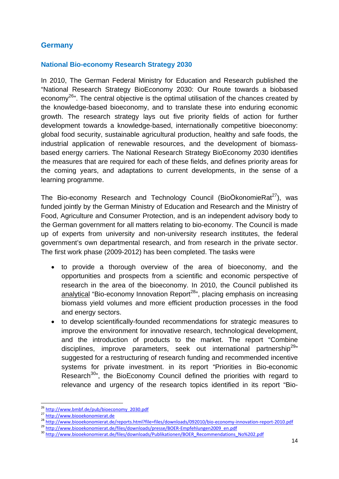### **Germany**

#### **National Bio-economy Research Strategy 2030**

In 2010, The German Federal Ministry for Education and Research published the "National Research Strategy BioEconomy 2030: Our Route towards a biobased economy<sup>26</sup>". The central objective is the optimal utilisation of the chances created by the knowledge-based bioeconomy, and to translate these into enduring economic growth. The research strategy lays out five priority fields of action for further development towards a knowledge-based, internationally competitive bioeconomy: global food security, sustainable agricultural production, healthy and safe foods, the industrial application of renewable resources, and the development of biomassbased energy carriers. The National Research Strategy BioEconomy 2030 identifies the measures that are required for each of these fields, and defines priority areas for the coming years, and adaptations to current developments, in the sense of a learning programme.

The Bio-economy Research and Technology Council (BioÖkonomieRat<sup>27</sup>), was funded jointly by the German Ministry of Education and Research and the Ministry of Food, Agriculture and Consumer Protection, and is an independent advisory body to the German government for all matters relating to bio-economy. The Council is made up of experts from university and non-university research institutes, the federal government's own departmental research, and from research in the private sector. The first work phase (2009-2012) has been completed. The tasks were

- to provide a thorough overview of the area of bioeconomy, and the opportunities and prospects from a scientific and economic perspective of research in the area of the bioeconomy. In 2010, the Council published its analytical "Bio-economy Innovation Report<sup>28</sup>", placing emphasis on increasing biomass yield volumes and more efficient production processes in the food and energy sectors.
- to develop scientifically-founded recommendations for strategic measures to improve the environment for innovative research, technological development, and the introduction of products to the market. The report "Combine disciplines, improve parameters, seek out international partnership<sup>29</sup>" suggested for a restructuring of research funding and recommended incentive systems for private investment. in its report "Priorities in Bio-economic Research<sup>30</sup>", the BioEconomy Council defined the priorities with regard to relevance and urgency of the research topics identified in its report "Bio-

<sup>&</sup>lt;sup>26</sup> http://www.bmbf.de/pub/bioeconomy 2030.pdf

<sup>27&</sup>lt;br>http://www.biooekonomierat.de/<br>28 http://www.biooekonomierat.de/reports.html?file=files/downloads/092010/bio-economy-innovation-report-2010.pdf<br>29 http://www.biooekonomierat.de/files/downloads/presse/BOER-Empfehlungen20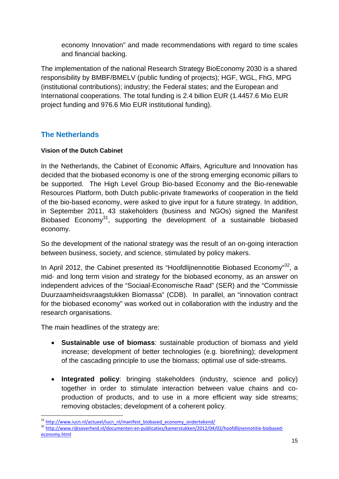economy Innovation" and made recommendations with regard to time scales and financial backing.

The implementation of the national Research Strategy BioEconomy 2030 is a shared responsibility by BMBF/BMELV (public funding of projects); HGF, WGL, FhG, MPG (institutional contributions); industry; the Federal states; and the European and International cooperations. The total funding is 2.4 billion EUR (1.4457.6 Mio EUR project funding and 976.6 Mio EUR institutional funding).

# **The Netherlands**

### **Vision of the Dutch Cabinet**

In the Netherlands, the Cabinet of Economic Affairs, Agriculture and Innovation has decided that the biobased economy is one of the strong emerging economic pillars to be supported. The High Level Group Bio-based Economy and the Bio-renewable Resources Platform, both Dutch public-private frameworks of cooperation in the field of the bio-based economy, were asked to give input for a future strategy. In addition, in September 2011, 43 stakeholders (business and NGOs) signed the Manifest Biobased Economy<sup>31</sup>, supporting the development of a sustainable biobased economy.

So the development of the national strategy was the result of an on-going interaction between business, society, and science, stimulated by policy makers.

In April 2012, the Cabinet presented its "Hoofdlijnennotitie Biobased Economy"<sup>32</sup>, a mid- and long term vision and strategy for the biobased economy, as an answer on independent advices of the "Sociaal-Economische Raad" (SER) and the "Commissie Duurzaamheidsvraagstukken Biomassa" (CDB). In parallel, an "innovation contract for the biobased economy" was worked out in collaboration with the industry and the research organisations.

The main headlines of the strategy are:

- **Sustainable use of biomass**: sustainable production of biomass and yield increase; development of better technologies (e.g. biorefining); development of the cascading principle to use the biomass; optimal use of side-streams.
- **Integrated policy**: bringing stakeholders (industry, science and policy) together in order to stimulate interaction between value chains and coproduction of products, and to use in a more efficient way side streams; removing obstacles; development of a coherent policy.

<sup>&</sup>lt;sup>31</sup> http://www.iucn.nl/actueel/iucn\_nl/manifest\_biobased\_economy\_ondertekend/

<sup>32</sup> http://www<u>.rijksoverheid.nl/documenten‐en‐publicaties/kamerstukken/ 2012/04/02/hoofdlijnennotitie‐biobased‐</u> economy.html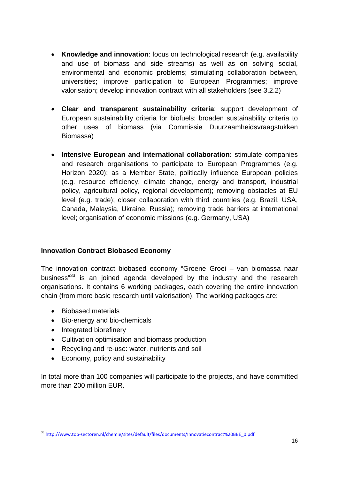- **Knowledge and innovation**: focus on technological research (e.g. availability and use of biomass and side streams) as well as on solving social, environmental and economic problems; stimulating collaboration between, universities; improve participation to European Programmes; improve valorisation; develop innovation contract with all stakeholders (see 3.2.2)
- **Clear and transparent sustainability criteria**: support development of European sustainability criteria for biofuels; broaden sustainability criteria to other uses of biomass (via Commissie Duurzaamheidsvraagstukken Biomassa)
- **Intensive European and international collaboration:** stimulate companies and research organisations to participate to European Programmes (e.g. Horizon 2020); as a Member State, politically influence European policies (e.g. resource efficiency, climate change, energy and transport, industrial policy, agricultural policy, regional development); removing obstacles at EU level (e.g. trade); closer collaboration with third countries (e.g. Brazil, USA, Canada, Malaysia, Ukraine, Russia); removing trade barriers at international level; organisation of economic missions (e.g. Germany, USA)

### **Innovation Contract Biobased Economy**

The innovation contract biobased economy "Groene Groei – van biomassa naar business"<sup>33</sup> is an joined agenda developed by the industry and the research organisations. It contains 6 working packages, each covering the entire innovation chain (from more basic research until valorisation). The working packages are:

- Biobased materials
- Bio-energy and bio-chemicals
- Integrated biorefinery

1

- Cultivation optimisation and biomass production
- Recycling and re-use: water, nutrients and soil
- Economy, policy and sustainability

In total more than 100 companies will participate to the projects, and have committed more than 200 million EUR.

<sup>&</sup>lt;sup>33</sup> http://www.top-sectoren.nl/chemie/sites/default/files/documents/Innovatiecontract%20BBE\_0.pdf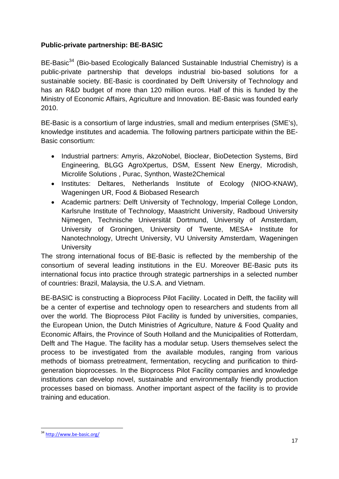### **Public-private partnership: BE-BASIC**

BE-Basic<sup>34</sup> (Bio-based Ecologically Balanced Sustainable Industrial Chemistry) is a public-private partnership that develops industrial bio-based solutions for a sustainable society. BE-Basic is coordinated by Delft University of Technology and has an R&D budget of more than 120 million euros. Half of this is funded by the Ministry of Economic Affairs, Agriculture and Innovation. BE-Basic was founded early 2010.

BE-Basic is a consortium of large industries, small and medium enterprises (SME's), knowledge institutes and academia. The following partners participate within the BE-Basic consortium:

- Industrial partners: Amyris, AkzoNobel, Bioclear, BioDetection Systems, Bird Engineering, BLGG AgroXpertus, DSM, Essent New Energy, Microdish, Microlife Solutions , Purac, Synthon, Waste2Chemical
- Institutes: Deltares, Netherlands Institute of Ecology (NIOO-KNAW), Wageningen UR, Food & Biobased Research
- Academic partners: Delft University of Technology, Imperial College London, Karlsruhe Institute of Technology, Maastricht University, Radboud University Nijmegen, Technische Universität Dortmund, University of Amsterdam, University of Groningen, University of Twente, MESA+ Institute for Nanotechnology, Utrecht University, VU University Amsterdam, Wageningen **University**

The strong international focus of BE-Basic is reflected by the membership of the consortium of several leading institutions in the EU. Moreover BE-Basic puts its international focus into practice through strategic partnerships in a selected number of countries: Brazil, Malaysia, the U.S.A. and Vietnam.

BE-BASIC is constructing a Bioprocess Pilot Facility. Located in Delft, the facility will be a center of expertise and technology open to researchers and students from all over the world. The Bioprocess Pilot Facility is funded by universities, companies, the European Union, the Dutch Ministries of Agriculture, Nature & Food Quality and Economic Affairs, the Province of South Holland and the Municipalities of Rotterdam, Delft and The Hague. The facility has a modular setup. Users themselves select the process to be investigated from the available modules, ranging from various methods of biomass pretreatment, fermentation, recycling and purification to thirdgeneration bioprocesses. In the Bioprocess Pilot Facility companies and knowledge institutions can develop novel, sustainable and environmentally friendly production processes based on biomass. Another important aspect of the facility is to provide training and education.

1

<sup>&</sup>lt;sup>34</sup> http://www.be-basic.org/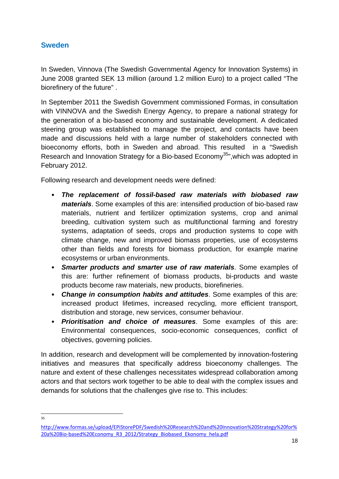## **Sweden**

In Sweden, Vinnova (The Swedish Governmental Agency for Innovation Systems) in June 2008 granted SEK 13 million (around 1.2 million Euro) to a project called "The biorefinery of the future" .

In September 2011 the Swedish Government commissioned Formas, in consultation with VINNOVA and the Swedish Energy Agency, to prepare a national strategy for the generation of a bio-based economy and sustainable development. A dedicated steering group was established to manage the project, and contacts have been made and discussions held with a large number of stakeholders connected with bioeconomy efforts, both in Sweden and abroad. This resulted in a "Swedish Research and Innovation Strategy for a Bio-based Economy<sup>35</sup>", which was adopted in February 2012.

Following research and development needs were defined:

- *The replacement of fossil-based raw materials with biobased raw materials*. Some examples of this are: intensified production of bio-based raw materials, nutrient and fertilizer optimization systems, crop and animal breeding, cultivation system such as multifunctional farming and forestry systems, adaptation of seeds, crops and production systems to cope with climate change, new and improved biomass properties, use of ecosystems other than fields and forests for biomass production, for example marine ecosystems or urban environments.
- *Smarter products and smarter use of raw materials*. Some examples of this are: further refinement of biomass products, bi-products and waste products become raw materials, new products, biorefineries.
- *Change in consumption habits and attitudes*. Some examples of this are: increased product lifetimes, increased recycling, more efficient transport, distribution and storage, new services, consumer behaviour.
- *Prioritisation and choice of measures*. Some examples of this are: Environmental consequences, socio-economic consequences, conflict of objectives, governing policies.

In addition, research and development will be complemented by innovation-fostering initiatives and measures that specifically address bioeconomy challenges. The nature and extent of these challenges necessitates widespread collaboration among actors and that sectors work together to be able to deal with the complex issues and demands for solutions that the challenges give rise to. This includes:

 $\frac{1}{35}$ 

http://www.formas.se/upload/EPiStorePDF/Swedish%20Research%20and%20Innovation%20Strategy%20for% 20a%20Bio-based%20Economy\_R3\_2012/Strategy\_Biobased\_Ekonomy\_hela.pdf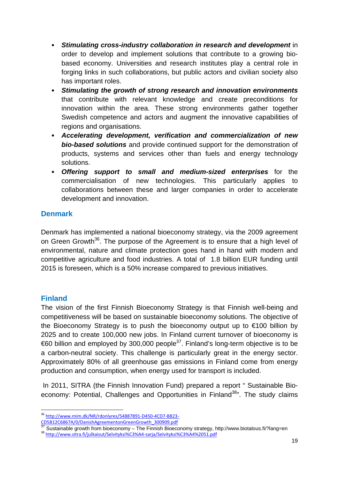- *Stimulating cross-industry collaboration in research and development* in order to develop and implement solutions that contribute to a growing biobased economy. Universities and research institutes play a central role in forging links in such collaborations, but public actors and civilian society also has important roles.
- *Stimulating the growth of strong research and innovation environments* that contribute with relevant knowledge and create preconditions for innovation within the area. These strong environments gather together Swedish competence and actors and augment the innovative capabilities of regions and organisations.
- *Accelerating development, verification and commercialization of new bio-based solutions* and provide continued support for the demonstration of products, systems and services other than fuels and energy technology solutions.
- *Offering support to small and medium-sized enterprises* for the commercialisation of new technologies. This particularly applies to collaborations between these and larger companies in order to accelerate development and innovation.

## **Denmark**

Denmark has implemented a national bioeconomy strategy, via the 2009 agreement on Green Growth<sup>36</sup>. The purpose of the Agreement is to ensure that a high level of environmental, nature and climate protection goes hand in hand with modern and competitive agriculture and food industries. A total of 1.8 billion EUR funding until 2015 is foreseen, which is a 50% increase compared to previous initiatives.

### **Finland**

The vision of the first Finnish Bioeconomy Strategy is that Finnish well-being and competitiveness will be based on sustainable bioeconomy solutions. The objective of the Bioeconomy Strategy is to push the bioeconomy output up to €100 billion by 2025 and to create 100,000 new jobs. In Finland current turnover of bioeconomy is  $\epsilon$ 60 billion and employed by 300,000 people<sup>37</sup>. Finland's long-term objective is to be a carbon-neutral society. This challenge is particularly great in the energy sector. Approximately 80% of all greenhouse gas emissions in Finland come from energy production and consumption, when energy used for transport is included.

 In 2011, SITRA (the Finnish Innovation Fund) prepared a report " Sustainable Bioeconomy: Potential, Challenges and Opportunities in Finland<sup>38</sup>". The study claims

19

<sup>1</sup> 36 http://www.mim.dk/NR/rdonlyres/54887891-D450-4CD7-B823-CD5B12C6867A/0/DanishAgreementonGreenGrowth 300909.pdf

 $\frac{37}{37}$  Sustainable growth from bioeconomy – The Finnish Bioeconomy strategy, http://www.biotalous.fi/?lang=en<br>  $\frac{38}{36}$  http://www.sitra.fi/julkaisut/Selvityksi%C3%A4-sarja/Selvityksi%C3%A4%2051.pdf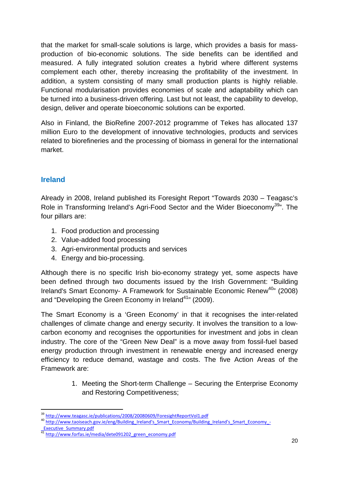that the market for small-scale solutions is large, which provides a basis for massproduction of bio-economic solutions. The side benefits can be identified and measured. A fully integrated solution creates a hybrid where different systems complement each other, thereby increasing the profitability of the investment. In addition, a system consisting of many small production plants is highly reliable. Functional modularisation provides economies of scale and adaptability which can be turned into a business-driven offering. Last but not least, the capability to develop, design, deliver and operate bioeconomic solutions can be exported.

Also in Finland, the BioRefine 2007-2012 programme of Tekes has allocated 137 million Euro to the development of innovative technologies, products and services related to biorefineries and the processing of biomass in general for the international market.

# **Ireland**

Already in 2008, Ireland published its Foresight Report "Towards 2030 – Teagasc's Role in Transforming Ireland's Agri-Food Sector and the Wider Bioeconomy<sup>39</sup>". The four pillars are:

- 1. Food production and processing
- 2. Value-added food processing
- 3. Agri-environmental products and services
- 4. Energy and bio-processing.

Although there is no specific Irish bio-economy strategy yet, some aspects have been defined through two documents issued by the Irish Government: "Building Ireland's Smart Economy- A Framework for Sustainable Economic Renew<sup>40</sup><sup>"</sup> (2008) and "Developing the Green Economy in Ireland $41$ " (2009).

The Smart Economy is a 'Green Economy' in that it recognises the inter-related challenges of climate change and energy security. It involves the transition to a lowcarbon economy and recognises the opportunities for investment and jobs in clean industry. The core of the "Green New Deal" is a move away from fossil-fuel based energy production through investment in renewable energy and increased energy efficiency to reduce demand, wastage and costs. The five Action Areas of the Framework are:

> 1. Meeting the Short-term Challenge – Securing the Enterprise Economy and Restoring Competitiveness;

<sup>1</sup> 

<sup>&</sup>lt;sup>39</sup> http://www.teagasc.ie/publications/2008/20080609/ForesightReportVol1.pdf<br>
<sup>40</sup> http://www.taoiseach.gov.ie/eng/Building\_Ireland's\_Smart\_Economy/Building\_Ireland's\_Smart\_Economy\_‐<br>
Executive\_Summary.pdf

\_Executive\_Summary.pdf <sup>41</sup> http://www.forfas.ie/media/dete091202\_green\_economy.pdf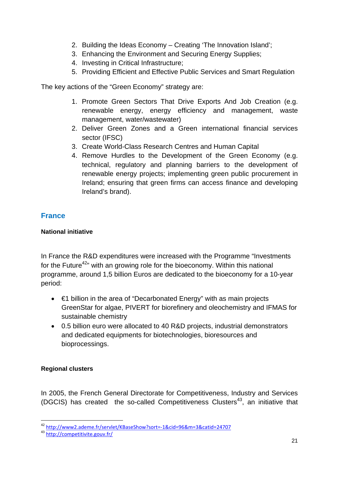- 2. Building the Ideas Economy Creating 'The Innovation Island';
- 3. Enhancing the Environment and Securing Energy Supplies;
- 4. Investing in Critical Infrastructure;
- 5. Providing Efficient and Effective Public Services and Smart Regulation

The key actions of the "Green Economy" strategy are:

- 1. Promote Green Sectors That Drive Exports And Job Creation (e.g. renewable energy, energy efficiency and management, waste management, water/wastewater)
- 2. Deliver Green Zones and a Green international financial services sector (IFSC)
- 3. Create World-Class Research Centres and Human Capital
- 4. Remove Hurdles to the Development of the Green Economy (e.g. technical, regulatory and planning barriers to the development of renewable energy projects; implementing green public procurement in Ireland; ensuring that green firms can access finance and developing Ireland's brand).

## **France**

### **National initiative**

In France the R&D expenditures were increased with the Programme "Investments for the Future<sup>42</sup>" with an growing role for the bioeconomy. Within this national programme, around 1,5 billion Euros are dedicated to the bioeconomy for a 10-year period:

- €1 billion in the area of "Decarbonated Energy" with as main projects GreenStar for algae, PIVERT for biorefinery and oleochemistry and IFMAS for sustainable chemistry
- 0.5 billion euro were allocated to 40 R&D projects, industrial demonstrators and dedicated equipments for biotechnologies, bioresources and bioprocessings.

### **Regional clusters**

1

In 2005, the French General Directorate for Competitiveness, Industry and Services (DGCIS) has created the so-called Competitiveness Clusters<sup>43</sup>, an initiative that

<sup>&</sup>lt;sup>42</sup> http://www2.ademe.fr/servlet/KBaseShow?sort=-1&cid=96&m=3&catid=24707<br><sup>43</sup> http://competitivite.gouv.fr/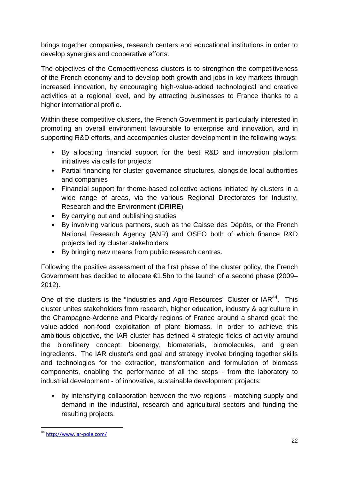brings together companies, research centers and educational institutions in order to develop synergies and cooperative efforts.

The objectives of the Competitiveness clusters is to strengthen the competitiveness of the French economy and to develop both growth and jobs in key markets through increased innovation, by encouraging high-value-added technological and creative activities at a regional level, and by attracting businesses to France thanks to a higher international profile.

Within these competitive clusters, the French Government is particularly interested in promoting an overall environment favourable to enterprise and innovation, and in supporting R&D efforts, and accompanies cluster development in the following ways:

- By allocating financial support for the best R&D and innovation platform initiatives via calls for projects
- Partial financing for cluster governance structures, alongside local authorities and companies
- Financial support for theme-based collective actions initiated by clusters in a wide range of areas, via the various Regional Directorates for Industry, Research and the Environment (DRIRE)
- By carrying out and publishing studies
- By involving various partners, such as the Caisse des Dépôts, or the French National Research Agency (ANR) and OSEO both of which finance R&D projects led by cluster stakeholders
- By bringing new means from public research centres.

Following the positive assessment of the first phase of the cluster policy, the French Government has decided to allocate €1.5bn to the launch of a second phase (2009– 2012).

One of the clusters is the "Industries and Agro-Resources" Cluster or IAR<sup>44</sup>. This cluster unites stakeholders from research, higher education, industry & agriculture in the Champagne-Ardenne and Picardy regions of France around a shared goal: the value-added non-food exploitation of plant biomass. In order to achieve this ambitious objective, the IAR cluster has defined 4 strategic fields of activity around the biorefinery concept: bioenergy, biomaterials, biomolecules, and green ingredients. The IAR cluster's end goal and strategy involve bringing together skills and technologies for the extraction, transformation and formulation of biomass components, enabling the performance of all the steps - from the laboratory to industrial development - of innovative, sustainable development projects:

• by intensifying collaboration between the two regions - matching supply and demand in the industrial, research and agricultural sectors and funding the resulting projects.

<sup>1</sup> <sup>44</sup> http://www.iar‐pole.com/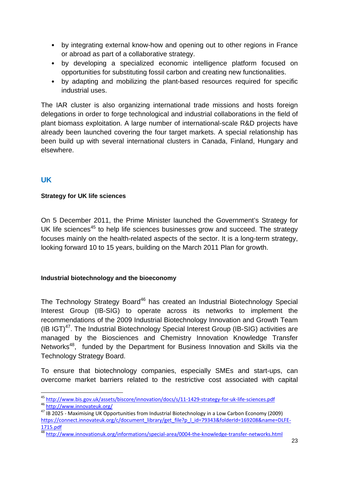- by integrating external know-how and opening out to other regions in France or abroad as part of a collaborative strategy.
- by developing a specialized economic intelligence platform focused on opportunities for substituting fossil carbon and creating new functionalities.
- by adapting and mobilizing the plant-based resources required for specific industrial uses.

The IAR cluster is also organizing international trade missions and hosts foreign delegations in order to forge technological and industrial collaborations in the field of plant biomass exploitation. A large number of international-scale R&D projects have already been launched covering the four target markets. A special relationship has been build up with several international clusters in Canada, Finland, Hungary and elsewhere.

# **UK**

### **Strategy for UK life sciences**

On 5 December 2011, the Prime Minister launched the Government's Strategy for UK life sciences<sup>45</sup> to help life sciences businesses grow and succeed. The strategy focuses mainly on the health-related aspects of the sector. It is a long-term strategy, looking forward 10 to 15 years, building on the March 2011 Plan for growth.

### **Industrial biotechnology and the bioeconomy**

The Technology Strategy Board<sup>46</sup> has created an Industrial Biotechnology Special Interest Group (IB-SIG) to operate across its networks to implement the recommendations of the 2009 Industrial Biotechnology Innovation and Growth Team (IB IGT) $47$ . The Industrial Biotechnology Special Interest Group (IB-SIG) activities are managed by the Biosciences and Chemistry Innovation Knowledge Transfer Networks<sup>48</sup>, funded by the Department for Business Innovation and Skills via the Technology Strategy Board.

To ensure that biotechnology companies, especially SMEs and start-ups, can overcome market barriers related to the restrictive cost associated with capital

<sup>1</sup> <sup>45</sup> http://www.bis.gov.uk/assets/biscore/innovation/docs/s/11-1429-strategy-for-uk-life-sciences.pdf<br><sup>46</sup> http://www.innovateuk.org/<br><sup>47</sup> IB 2025 - Maximising UK Opportunities from Industrial Biotechnology in a Low Carbo

https://connect.innovateuk.org/c/document\_library/get\_file?p\_l\_id=79343&folderId=169208&name=DLFE-

<sup>1715.</sup>pdf<br><sup>48</sup> http://www.innovationuk.org/informations/special-area/0004-the-knowledge-transfer-networks.html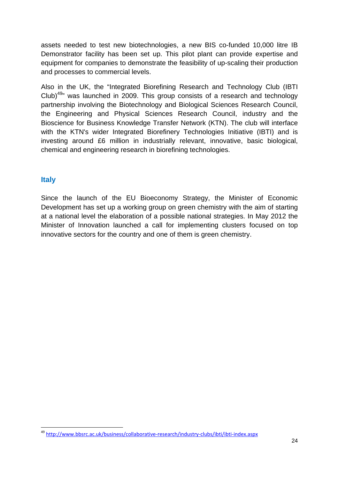assets needed to test new biotechnologies, a new BIS co-funded 10,000 litre IB Demonstrator facility has been set up. This pilot plant can provide expertise and equipment for companies to demonstrate the feasibility of up-scaling their production and processes to commercial levels.

Also in the UK, the "Integrated Biorefining Research and Technology Club (IBTI Club)<sup>49</sup>" was launched in 2009. This group consists of a research and technology partnership involving the Biotechnology and Biological Sciences Research Council, the Engineering and Physical Sciences Research Council, industry and the Bioscience for Business Knowledge Transfer Network (KTN). The club will interface with the KTN's wider Integrated Biorefinery Technologies Initiative (IBTI) and is investing around £6 million in industrially relevant, innovative, basic biological, chemical and engineering research in biorefining technologies.

### **Italy**

1

Since the launch of the EU Bioeconomy Strategy, the Minister of Economic Development has set up a working group on green chemistry with the aim of starting at a national level the elaboration of a possible national strategies. In May 2012 the Minister of Innovation launched a call for implementing clusters focused on top innovative sectors for the country and one of them is green chemistry.

<sup>&</sup>lt;sup>49</sup> http://www.bbsrc.ac.uk/business/collaborative-research/industry-clubs/ibti/ibti-index.aspx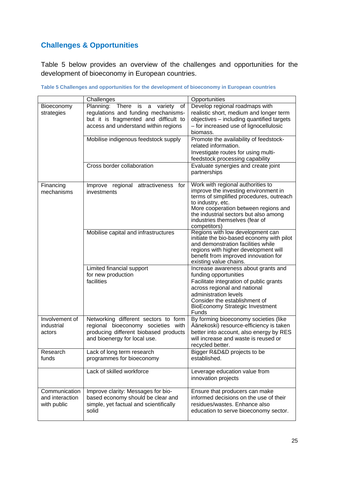# **Challenges & Opportunities**

Table 5 below provides an overview of the challenges and opportunities for the development of bioeconomy in European countries.

|                                                 | Challenges                                                                                                                                                    | Opportunities                                                                                                                                                                                                                                                                 |
|-------------------------------------------------|---------------------------------------------------------------------------------------------------------------------------------------------------------------|-------------------------------------------------------------------------------------------------------------------------------------------------------------------------------------------------------------------------------------------------------------------------------|
| Bioeconomy<br>strategies                        | Planning:<br>There is a variety<br>of<br>regulations and funding mechanisms-<br>but it is fragmented and difficult to<br>access and understand within regions | Develop regional roadmaps with<br>realistic short, medium and longer term<br>objectives - including quantified targets<br>- for increased use of lignocellulosic<br>biomass.                                                                                                  |
|                                                 | Mobilise indigenous feedstock supply                                                                                                                          | Promote the availability of feedstock-<br>related information.<br>Investigate routes for using multi-<br>feedstock processing capability                                                                                                                                      |
|                                                 | Cross border collaboration                                                                                                                                    | Evaluate synergies and create joint<br>partnerships                                                                                                                                                                                                                           |
| Financing<br>mechanisms                         | Improve regional attractiveness<br>tor<br>investments                                                                                                         | Work with regional authorities to<br>improve the investing environment in<br>terms of simplified procedures, outreach<br>to industry, etc.<br>More cooperation between regions and<br>the industrial sectors but also among<br>industries themselves (fear of<br>competitors) |
|                                                 | Mobilise capital and infrastructures                                                                                                                          | Regions with low development can<br>initiate the bio-based economy with pilot<br>and demonstration facilities while<br>regions with higher development will<br>benefit from improved innovation for<br>existing value chains.                                                 |
|                                                 | Limited financial support<br>for new production<br>facilities                                                                                                 | Increase awareness about grants and<br>funding opportunities<br>Facilitate integration of public grants<br>across regional and national<br>administration levels<br>Consider the establishment of<br><b>BioEconomy Strategic Investment</b><br>Funds                          |
| Involvement of<br>industrial<br>actors          | Networking different sectors to form<br>regional bioeconomy societies with<br>producing different biobased products<br>and bioenergy for local use.           | By forming bioeconomy societies (like<br>Äänekoski) resource-efficiency is taken<br>better into account, also energy by RES<br>will increase and waste is reused or<br>recycled better.                                                                                       |
| Research<br>funds                               | Lack of long term research<br>programmes for bioeconomy                                                                                                       | Bigger R&D&D projects to be<br>established.                                                                                                                                                                                                                                   |
|                                                 | Lack of skilled workforce                                                                                                                                     | Leverage education value from<br>innovation projects                                                                                                                                                                                                                          |
| Communication<br>and interaction<br>with public | Improve clarity: Messages for bio-<br>based economy should be clear and<br>simple, yet factual and scientifically<br>solid                                    | Ensure that producers can make<br>informed decisions on the use of their<br>residues/wastes. Enhance also<br>education to serve bioeconomy sector.                                                                                                                            |

**Table 5 Challenges and opportunities for the development of bioeconomy in European countries**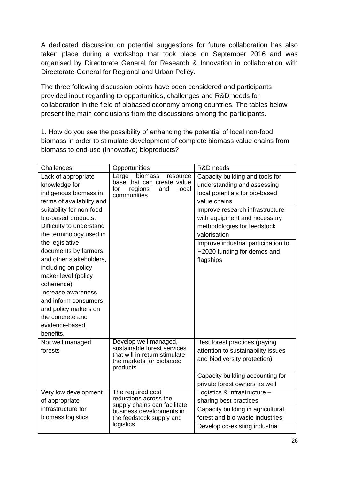A dedicated discussion on potential suggestions for future collaboration has also taken place during a workshop that took place on September 2016 and was organised by Directorate General for Research & Innovation in collaboration with Directorate-General for Regional and Urban Policy.

The three following discussion points have been considered and participants provided input regarding to opportunities, challenges and R&D needs for collaboration in the field of biobased economy among countries. The tables below present the main conclusions from the discussions among the participants.

1. How do you see the possibility of enhancing the potential of local non-food biomass in order to stimulate development of complete biomass value chains from biomass to end-use (innovative) bioproducts?

| Challenges                                                                                                                                                                                                                                                                                                                                                                                                                        | Opportunities                                                                                                                      | R&D needs                                                                                                                                                                                                                                                                                                             |
|-----------------------------------------------------------------------------------------------------------------------------------------------------------------------------------------------------------------------------------------------------------------------------------------------------------------------------------------------------------------------------------------------------------------------------------|------------------------------------------------------------------------------------------------------------------------------------|-----------------------------------------------------------------------------------------------------------------------------------------------------------------------------------------------------------------------------------------------------------------------------------------------------------------------|
| Lack of appropriate<br>knowledge for<br>indigenous biomass in<br>terms of availability and<br>suitability for non-food<br>bio-based products.<br>Difficulty to understand<br>the terminology used in<br>the legislative<br>documents by farmers<br>and other stakeholders,<br>including on policy<br>maker level (policy<br>coherence).<br>Increase awareness<br>and inform consumers<br>and policy makers on<br>the concrete and | biomass<br>Large<br>resource<br>base that can create value<br>for<br>regions<br>and<br>local<br>communities                        | Capacity building and tools for<br>understanding and assessing<br>local potentials for bio-based<br>value chains<br>Improve research infrastructure<br>with equipment and necessary<br>methodologies for feedstock<br>valorisation<br>Improve industrial participation to<br>H2020 funding for demos and<br>flagships |
| evidence-based<br>benefits.                                                                                                                                                                                                                                                                                                                                                                                                       |                                                                                                                                    |                                                                                                                                                                                                                                                                                                                       |
| Not well managed<br>forests                                                                                                                                                                                                                                                                                                                                                                                                       | Develop well managed,<br>sustainable forest services<br>that will in return stimulate<br>the markets for biobased<br>products      | Best forest practices (paying<br>attention to sustainability issues<br>and biodiversity protection)<br>Capacity building accounting for                                                                                                                                                                               |
|                                                                                                                                                                                                                                                                                                                                                                                                                                   |                                                                                                                                    | private forest owners as well                                                                                                                                                                                                                                                                                         |
| Very low development<br>of appropriate<br>infrastructure for<br>biomass logistics                                                                                                                                                                                                                                                                                                                                                 | The required cost<br>reductions across the<br>supply chains can facilitate<br>business developments in<br>the feedstock supply and | Logistics & infrastructure -<br>sharing best practices<br>Capacity building in agricultural,<br>forest and bio-waste industries                                                                                                                                                                                       |
|                                                                                                                                                                                                                                                                                                                                                                                                                                   | logistics                                                                                                                          | Develop co-existing industrial                                                                                                                                                                                                                                                                                        |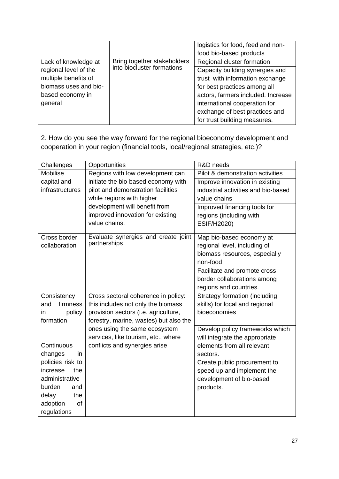|                                               |                             | logistics for food, feed and non-<br>food bio-based products       |
|-----------------------------------------------|-----------------------------|--------------------------------------------------------------------|
| Lack of knowledge at                          | Bring together stakeholders | Regional cluster formation                                         |
| regional level of the<br>multiple benefits of | into biocluster formations  | Capacity building synergies and<br>trust with information exchange |
| biomass uses and bio-                         |                             | for best practices among all                                       |
| based economy in                              |                             | actors, farmers included. Increase                                 |
| general                                       |                             | international cooperation for<br>exchange of best practices and    |
|                                               |                             | for trust building measures.                                       |

2. How do you see the way forward for the regional bioeconomy development and cooperation in your region (financial tools, local/regional strategies, etc.)?

| Challenges                     | Opportunities                                                                                                   | R&D needs                                                                                             |
|--------------------------------|-----------------------------------------------------------------------------------------------------------------|-------------------------------------------------------------------------------------------------------|
| Mobilise                       | Regions with low development can                                                                                | Pilot & demonstration activities                                                                      |
| capital and<br>infrastructures | initiate the bio-based economy with<br>pilot and demonstration facilities                                       | Improve innovation in existing<br>industrial activities and bio-based                                 |
|                                | while regions with higher<br>development will benefit from<br>improved innovation for existing<br>value chains. | value chains<br>Improved financing tools for<br>regions (including with<br>ESIF/H2020)                |
| Cross border<br>collaboration  | Evaluate synergies and create joint<br>partnerships                                                             | Map bio-based economy at<br>regional level, including of<br>biomass resources, especially<br>non-food |
|                                |                                                                                                                 | Facilitate and promote cross<br>border collaborations among<br>regions and countries.                 |
| Consistency                    | Cross sectoral coherence in policy:                                                                             | <b>Strategy formation (including</b>                                                                  |
| firmness<br>and                | this includes not only the biomass                                                                              | skills) for local and regional                                                                        |
| policy<br>in                   | provision sectors (i.e. agriculture,                                                                            | bioeconomies                                                                                          |
| formation                      | forestry, marine, wastes) but also the<br>ones using the same ecosystem                                         | Develop policy frameworks which                                                                       |
| Continuous                     | services, like tourism, etc., where<br>conflicts and synergies arise                                            | will integrate the appropriate<br>elements from all relevant                                          |
| changes<br>in                  |                                                                                                                 | sectors.                                                                                              |
| policies risk to               |                                                                                                                 | Create public procurement to                                                                          |
| increase<br>the                |                                                                                                                 | speed up and implement the                                                                            |
| administrative                 |                                                                                                                 | development of bio-based                                                                              |
| burden<br>and                  |                                                                                                                 | products.                                                                                             |
| the<br>delay                   |                                                                                                                 |                                                                                                       |
| adoption<br>of                 |                                                                                                                 |                                                                                                       |
| regulations                    |                                                                                                                 |                                                                                                       |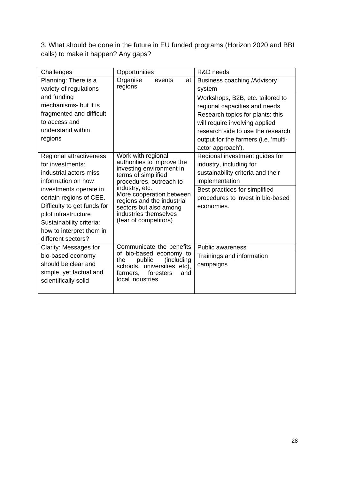3. What should be done in the future in EU funded programs (Horizon 2020 and BBI calls) to make it happen? Any gaps?

| Challenges                  | Opportunities                                          | R&D needs                            |
|-----------------------------|--------------------------------------------------------|--------------------------------------|
| Planning: There is a        | Organise<br>events<br>at                               | Business coaching /Advisory          |
| variety of regulations      | regions                                                | system                               |
| and funding                 |                                                        | Workshops, B2B, etc. tailored to     |
| mechanisms- but it is       |                                                        | regional capacities and needs        |
| fragmented and difficult    |                                                        | Research topics for plants: this     |
| to access and               |                                                        | will require involving applied       |
| understand within           |                                                        | research side to use the research    |
| regions                     |                                                        | output for the farmers (i.e. 'multi- |
|                             |                                                        | actor approach').                    |
| Regional attractiveness     | Work with regional                                     | Regional investment guides for       |
| for investments:            | authorities to improve the<br>investing environment in | industry, including for              |
| industrial actors miss      | terms of simplified                                    | sustainability criteria and their    |
| information on how          | procedures, outreach to                                | implementation                       |
| investments operate in      | industry, etc.                                         | Best practices for simplified        |
| certain regions of CEE.     | More cooperation between<br>regions and the industrial | procedures to invest in bio-based    |
| Difficulty to get funds for | sectors but also among                                 | economies.                           |
| pilot infrastructure        | industries themselves                                  |                                      |
| Sustainability criteria:    | (fear of competitors)                                  |                                      |
| how to interpret them in    |                                                        |                                      |
| different sectors?          |                                                        |                                      |
| Clarity: Messages for       | Communicate the benefits<br>of bio-based economy to    | <b>Public awareness</b>              |
| bio-based economy           | public<br>(including<br>the                            | Trainings and information            |
| should be clear and         | schools, universities etc),                            | campaigns                            |
| simple, yet factual and     | foresters<br>farmers,<br>and                           |                                      |
| scientifically solid        | local industries                                       |                                      |
|                             |                                                        |                                      |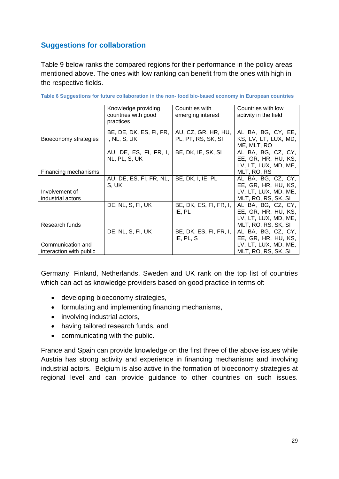# **Suggestions for collaboration**

Table 9 below ranks the compared regions for their performance in the policy areas mentioned above. The ones with low ranking can benefit from the ones with high in the respective fields.

|                         | Knowledge providing     | Countries with         | Countries with low    |
|-------------------------|-------------------------|------------------------|-----------------------|
|                         | countries with good     | emerging interest      | activity in the field |
|                         | practices               |                        |                       |
|                         |                         |                        |                       |
|                         | BE, DE, DK, ES, FI, FR, | AU, CZ, GR, HR, HU,    | AL BA, BG, CY, EE,    |
| Bioeconomy strategies   | I, NL, S, UK            | PL, PT, RS, SK, SI     | KS, LV, LT, LUX, MD,  |
|                         |                         |                        | ME, MLT, RO           |
|                         | AU, DE, ES, FI, FR, I,  | BE, DK, IE, SK, SI     | AL BA, BG, CZ, CY,    |
|                         | NL, PL, S, UK           |                        | EE, GR, HR, HU, KS,   |
|                         |                         |                        | LV, LT, LUX, MD, ME,  |
| Financing mechanisms    |                         |                        | MLT, RO, RS           |
|                         | AU, DE, ES, FI, FR, NL, | BE, DK, I, IE, PL      | AL BA, BG, CZ, CY,    |
|                         | S, UK                   |                        | EE, GR, HR, HU, KS,   |
| Involvement of          |                         |                        | LV, LT, LUX, MD, ME,  |
| industrial actors       |                         |                        | MLT, RO, RS, SK, SI   |
|                         | DE, NL, S, FI, UK       | BE, DK, ES, FI, FR, I, | AL BA, BG, CZ, CY,    |
|                         |                         | IE, PL                 | EE, GR, HR, HU, KS,   |
|                         |                         |                        | LV, LT, LUX, MD, ME,  |
| Research funds          |                         |                        | MLT, RO, RS, SK, SI   |
|                         | DE, NL, S, FI, UK       | BE, DK, ES, FI, FR, I, | AL BA, BG, CZ, CY,    |
|                         |                         | IE, PL, S              | EE, GR, HR, HU, KS,   |
| Communication and       |                         |                        | LV, LT, LUX, MD, ME,  |
| interaction with public |                         |                        | MLT, RO, RS, SK, SI   |

| Table 6 Suggestions for future collaboration in the non- food bio-based economy in European countries |  |  |  |
|-------------------------------------------------------------------------------------------------------|--|--|--|
|                                                                                                       |  |  |  |

Germany, Finland, Netherlands, Sweden and UK rank on the top list of countries which can act as knowledge providers based on good practice in terms of:

- developing bioeconomy strategies,
- formulating and implementing financing mechanisms,
- involving industrial actors,
- having tailored research funds, and
- communicating with the public.

France and Spain can provide knowledge on the first three of the above issues while Austria has strong activity and experience in financing mechanisms and involving industrial actors. Belgium is also active in the formation of bioeconomy strategies at regional level and can provide guidance to other countries on such issues.